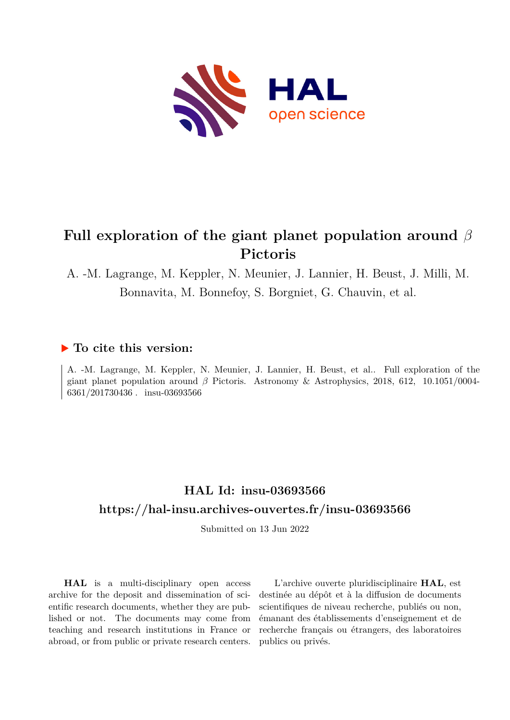

# **Full exploration of the giant planet population around** *β* **Pictoris**

A. -M. Lagrange, M. Keppler, N. Meunier, J. Lannier, H. Beust, J. Milli, M. Bonnavita, M. Bonnefoy, S. Borgniet, G. Chauvin, et al.

# **To cite this version:**

A. -M. Lagrange, M. Keppler, N. Meunier, J. Lannier, H. Beust, et al.. Full exploration of the giant planet population around  $\beta$  Pictoris. Astronomy & Astrophysics, 2018, 612, 10.1051/0004- $6361/201730436$ . insu-03693566

# **HAL Id: insu-03693566 <https://hal-insu.archives-ouvertes.fr/insu-03693566>**

Submitted on 13 Jun 2022

**HAL** is a multi-disciplinary open access archive for the deposit and dissemination of scientific research documents, whether they are published or not. The documents may come from teaching and research institutions in France or abroad, or from public or private research centers.

L'archive ouverte pluridisciplinaire **HAL**, est destinée au dépôt et à la diffusion de documents scientifiques de niveau recherche, publiés ou non, émanant des établissements d'enseignement et de recherche français ou étrangers, des laboratoires publics ou privés.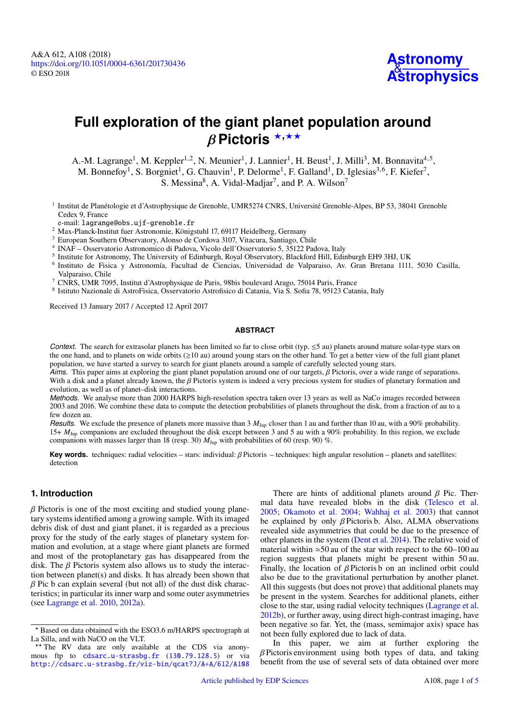# **Full exploration of the giant planet population around** *β* Pictoris <sup>\*</sup><sup>,\*\*</sup>

A.-M. Lagrange<sup>1</sup>, M. Keppler<sup>1,2</sup>, N. Meunier<sup>1</sup>, J. Lannier<sup>1</sup>, H. Beust<sup>1</sup>, J. Milli<sup>3</sup>, M. Bonnavita<sup>4,5</sup>, M. Bonnefoy<sup>1</sup>, S. Borgniet<sup>1</sup>, G. Chauvin<sup>1</sup>, P. Delorme<sup>1</sup>, F. Galland<sup>1</sup>, D. Iglesias<sup>3,6</sup>, F. Kiefer<sup>7</sup>, S. Messina<sup>8</sup>, A. Vidal-Madjar<sup>7</sup>, and P. A. Wilson<sup>7</sup>

<sup>1</sup> Institut de Planétologie et d'Astrophysique de Grenoble, UMR5274 CNRS, Université Grenoble-Alpes, BP 53, 38041 Grenoble Cedex 9, France

e-mail: [lagrange@obs.ujf-grenoble.fr](mailto:lagrange@obs.ujf-grenoble.fr)

- <sup>2</sup> Max-Planck-Institut fuer Astronomie, Königstuhl 17, 69117 Heidelberg, Germany
- <sup>3</sup> European Southern Observatory, Alonso de Cordova 3107, Vitacura, Santiago, Chile
- 4 INAF Osservatorio Astronomico di Padova, Vicolo dell'Osservatorio 5, 35122 Padova, Italy
- <sup>5</sup> Institute for Astronomy, The University of Edinburgh, Royal Observatory, Blackford Hill, Edinburgh EH9 3HJ, UK
- 6 Instituto de Fisica y Astronomía, Facultad de Ciencias, Universidad de Valparaiso, Av. Gran Bretana 1111, 5030 Casilla, Valparaiso, Chile
- <sup>7</sup> CNRS, UMR 7095, Institut d'Astrophysique de Paris, 98bis boulevard Arago, 75014 Paris, France
- 8 Istituto Nazionale di AstroFisica, Osservatorio Astrofisico di Catania, Via S. Sofia 78, 95123 Catania, Italy

Received 13 January 2017 / Accepted 12 April 2017

#### **ABSTRACT**

*Context.* The search for extrasolar planets has been limited so far to close orbit (typ.  $\leq$ 5 au) planets around mature solar-type stars on the one hand, and to planets on wide orbits  $(\geq 10 \text{ au})$  around young stars on the other hand. To get a better view of the full giant planet population, we have started a survey to search for giant planets around a sample of carefully selected young stars.

*Aims.* This paper aims at exploring the giant planet population around one of our targets, β Pictoris, over a wide range of separations. With a disk and a planet already known, the  $\beta$  Pictoris system is indeed a very precious system for studies of planetary formation and evolution, as well as of planet–disk interactions.

*Methods.* We analyse more than 2000 HARPS high-resolution spectra taken over 13 years as well as NaCo images recorded between 2003 and 2016. We combine these data to compute the detection probabilities of planets throughout the disk, from a fraction of au to a few dozen au.

*Results.* We exclude the presence of planets more massive than 3  $M_{\text{Jup}}$  closer than 1 au and further than 10 au, with a 90% probability. 15+ *M*Jup companions are excluded throughout the disk except between 3 and 5 au with a 90% probability. In this region, we exclude companions with masses larger than 18 (resp. 30)  $M_{\text{Jup}}$  with probabilities of 60 (resp. 90) %.

**Key words.** techniques: radial velocities – stars: individual: β Pictoris – techniques: high angular resolution – planets and satellites: detection

## **1. Introduction**

 $\beta$  Pictoris is one of the most exciting and studied young planetary systems identified among a growing sample. With its imaged debris disk of dust and giant planet, it is regarded as a precious proxy for the study of the early stages of planetary system formation and evolution, at a stage where giant planets are formed and most of the protoplanetary gas has disappeared from the disk. The  $\beta$  Pictoris system also allows us to study the interaction between planet(s) and disks. It has already been shown that  $\beta$  Pic b can explain several (but not all) of the dust disk characteristics; in particular its inner warp and some outer asymmetries (see Lagrange et al. 2010, 2012a).

There are hints of additional planets around  $\beta$  Pic. Thermal data have revealed blobs in the disk (Telesco et al. 2005; Okamoto et al. 2004; Wahhaj et al. 2003) that cannot be explained by only β Pictoris b. Also, ALMA observations revealed side asymmetries that could be due to the presence of other planets in the system (Dent et al. 2014). The relative void of material within  $\approx$ 50 au of the star with respect to the 60–100 au region suggests that planets might be present within 50 au. Finally, the location of  $\beta$  Pictoris b on an inclined orbit could also be due to the gravitational perturbation by another planet. All this suggests (but does not prove) that additional planets may be present in the system. Searches for additional planets, either close to the star, using radial velocity techniques (Lagrange et al. 2012b), or further away, using direct high-contrast imaging, have been negative so far. Yet, the (mass, semimajor axis) space has not been fully explored due to lack of data.

In this paper, we aim at further exploring the  $\beta$  Pictoris environment using both types of data, and taking benefit from the use of several sets of data obtained over more

<sup>?</sup> Based on data obtained with the ESO3.6 m/HARPS spectrograph at La Silla, and with NaCO on the VLT.

<sup>\*\*</sup> The RV data are only available at the CDS via anonymous ftp to [cdsarc.u-strasbg.fr](http://cdsarc.u-strasbg.fr) ([130.79.128.5](http://cdsarc.u-strasbg.fr)) or via <http://cdsarc.u-strasbg.fr/viz-bin/qcat?J/A+A/612/A108>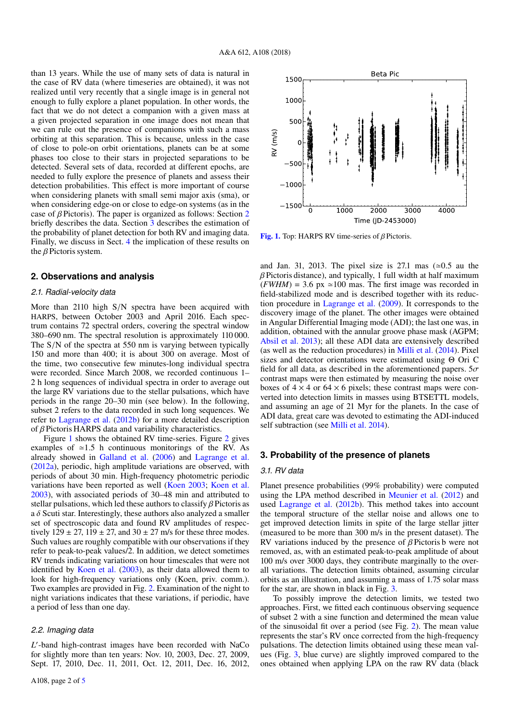than 13 years. While the use of many sets of data is natural in the case of RV data (where timeseries are obtained), it was not realized until very recently that a single image is in general not enough to fully explore a planet population. In other words, the fact that we do not detect a companion with a given mass at a given projected separation in one image does not mean that we can rule out the presence of companions with such a mass orbiting at this separation. This is because, unless in the case of close to pole-on orbit orientations, planets can be at some phases too close to their stars in projected separations to be detected. Several sets of data, recorded at different epochs, are needed to fully explore the presence of planets and assess their detection probabilities. This effect is more important of course when considering planets with small semi major axis (sma), or when considering edge-on or close to edge-on systems (as in the case of  $\beta$  Pictoris). The paper is organized as follows: Section 2 briefly describes the data. Section 3 describes the estimation of the probability of planet detection for both RV and imaging data. Finally, we discuss in Sect. 4 the implication of these results on the β Pictoris system.

### **2. Observations and analysis**

#### *2.1. Radial-velocity data*

More than 2110 high <sup>S</sup>/<sup>N</sup> spectra have been acquired with HARPS, between October 2003 and April 2016. Each spectrum contains 72 spectral orders, covering the spectral window 380–690 nm. The spectral resolution is approximately 110 000. The <sup>S</sup>/<sup>N</sup> of the spectra at 550 nm is varying between typically 150 and more than 400; it is about 300 on average. Most of the time, two consecutive few minutes-long individual spectra were recorded. Since March 2008, we recorded continuous 1– 2 h long sequences of individual spectra in order to average out the large RV variations due to the stellar pulsations, which have periods in the range 20–30 min (see below). In the following, subset 2 refers to the data recorded in such long sequences. We refer to Lagrange et al. (2012b) for a more detailed description of β Pictoris HARPS data and variability characteristics.

Figure 1 shows the obtained RV time-series. Figure 2 gives examples of  $\simeq$ 1.5 h continuous monitorings of the RV. As already showed in Galland et al. (2006) and Lagrange et al. (2012a), periodic, high amplitude variations are observed, with periods of about 30 min. High-frequency photometric periodic variations have been reported as well (Koen 2003; Koen et al. 2003), with associated periods of 30–48 min and attributed to stellar pulsations, which led these authors to classify  $\beta$  Pictoris as a  $\delta$  Scuti star. Interestingly, these authors also analyzed a smaller set of spectroscopic data and found RV amplitudes of respectively  $129 \pm 27$ ,  $119 \pm 27$ , and  $30 \pm 27$  m/s for these three modes. Such values are roughly compatible with our observations if they refer to peak-to-peak values/2. In addition, we detect sometimes RV trends indicating variations on hour timescales that were not identified by Koen et al. (2003), as their data allowed them to look for high-frequency variations only (Koen, priv. comm.). Two examples are provided in Fig. 2. Examination of the night to night variations indicates that these variations, if periodic, have a period of less than one day.

### *2.2. Imaging data*

L'-band high-contrast images have been recorded with NaCo for slightly more than ten years: Nov. 10, 2003, Dec. 27, 2009, Sept. 17, 2010, Dec. 11, 2011, Oct. 12, 2011, Dec. 16, 2012,



[Fig. 1.](http://dexter.edpsciences.org/applet.php?DOI=10.1051/0004-6361/201730436&pdf_id=0) Top: HARPS RV time-series of  $\beta$  Pictoris.

and Jan. 31, 2013. The pixel size is 27.1 mas  $(\simeq 0.5$  au the  $\beta$  Pictoris distance), and typically, 1 full width at half maximum  $(FWHM) = 3.6$  px  $\simeq 100$  mas. The first image was recorded in field-stabilized mode and is described together with its reduction procedure in Lagrange et al. (2009). It corresponds to the discovery image of the planet. The other images were obtained in Angular Differential Imaging mode (ADI); the last one was, in addition, obtained with the annular groove phase mask (AGPM; Absil et al. 2013); all these ADI data are extensively described (as well as the reduction procedures) in Milli et al. (2014). Pixel sizes and detector orientations were estimated using Θ Ori C field for all data, as described in the aforementioned papers.  $5\sigma$ contrast maps were then estimated by measuring the noise over boxes of  $4 \times 4$  or  $64 \times 6$  pixels; these contrast maps were converted into detection limits in masses using BTSETTL models, and assuming an age of 21 Myr for the planets. In the case of ADI data, great care was devoted to estimating the ADI-induced self subtraction (see Milli et al. 2014).

#### **3. Probability of the presence of planets**

### *3.1. RV data*

Planet presence probabilities (99% probability) were computed using the LPA method described in Meunier et al. (2012) and used Lagrange et al. (2012b). This method takes into account the temporal structure of the stellar noise and allows one to get improved detection limits in spite of the large stellar jitter (measured to be more than 300 m/s in the present dataset). The RV variations induced by the presence of  $\beta$  Pictoris b were not removed, as, with an estimated peak-to-peak amplitude of about 100 m/s over 3000 days, they contribute marginally to the overall variations. The detection limits obtained, assuming circular orbits as an illustration, and assuming a mass of 1.75 solar mass for the star, are shown in black in Fig. 3.

To possibly improve the detection limits, we tested two approaches. First, we fitted each continuous observing sequence of subset 2 with a sine function and determined the mean value of the sinusoidal fit over a period (see Fig. 2). The mean value represents the star's RV once corrected from the high-frequency pulsations. The detection limits obtained using these mean values (Fig. 3, blue curve) are slightly improved compared to the ones obtained when applying LPA on the raw RV data (black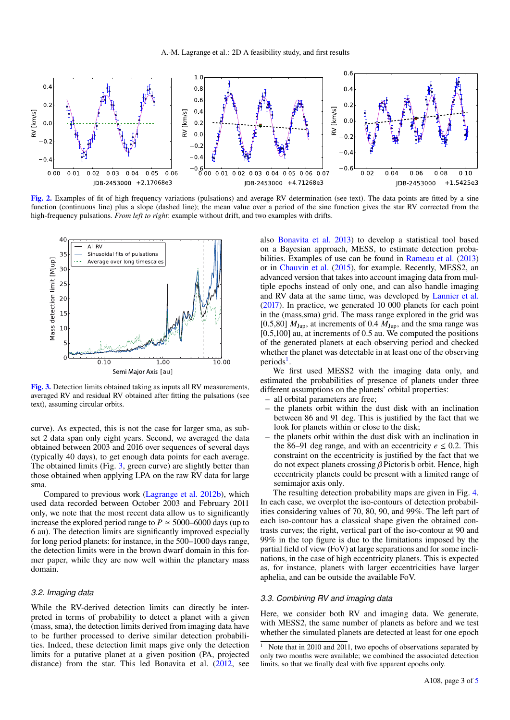

[Fig. 2.](http://dexter.edpsciences.org/applet.php?DOI=10.1051/0004-6361/201730436&pdf_id=0) Examples of fit of high frequency variations (pulsations) and average RV determination (see text). The data points are fitted by a sine function (continuous line) plus a slope (dashed line); the mean value over a period of the sine function gives the star RV corrected from the high-frequency pulsations. *From left to right*: example without drift, and two examples with drifts.



[Fig. 3.](http://dexter.edpsciences.org/applet.php?DOI=10.1051/0004-6361/201730436&pdf_id=0) Detection limits obtained taking as inputs all RV measurements, averaged RV and residual RV obtained after fitting the pulsations (see text), assuming circular orbits.

curve). As expected, this is not the case for larger sma, as subset 2 data span only eight years. Second, we averaged the data obtained between 2003 and 2016 over sequences of several days (typically 40 days), to get enough data points for each average. The obtained limits (Fig. 3, green curve) are slightly better than those obtained when applying LPA on the raw RV data for large sma.

Compared to previous work (Lagrange et al. 2012b), which used data recorded between October 2003 and February 2011 only, we note that the most recent data allow us to significantly increase the explored period range to  $P \approx 5000-6000$  days (up to 6 au). The detection limits are significantly improved especially for long period planets: for instance, in the 500–1000 days range, the detection limits were in the brown dwarf domain in this former paper, while they are now well within the planetary mass domain.

#### *3.2. Imaging data*

While the RV-derived detection limits can directly be interpreted in terms of probability to detect a planet with a given (mass, sma), the detection limits derived from imaging data have to be further processed to derive similar detection probabilities. Indeed, these detection limit maps give only the detection limits for a putative planet at a given position (PA, projected distance) from the star. This led Bonavita et al. (2012, see also Bonavita et al. 2013) to develop a statistical tool based on a Bayesian approach, MESS, to estimate detection probabilities. Examples of use can be found in Rameau et al. (2013) or in Chauvin et al. (2015), for example. Recently, MESS2, an advanced version that takes into account imaging data from multiple epochs instead of only one, and can also handle imaging and RV data at the same time, was developed by Lannier et al. (2017). In practice, we generated 10 000 planets for each point in the (mass,sma) grid. The mass range explored in the grid was [0.5,80]  $M_{\text{Jup}}$ , at increments of 0.4  $M_{\text{Jup}}$ , and the sma range was [0.5,100] au, at increments of 0.5 au. We computed the positions of the generated planets at each observing period and checked whether the planet was detectable in at least one of the observing periods<sup>1</sup>.

We first used MESS2 with the imaging data only, and estimated the probabilities of presence of planets under three different assumptions on the planets' orbital properties:

- all orbital parameters are free;
- the planets orbit within the dust disk with an inclination between 86 and 91 deg. This is justified by the fact that we look for planets within or close to the disk;
- the planets orbit within the dust disk with an inclination in the 86–91 deg range, and with an eccentricity  $e \le 0.2$ . This constraint on the eccentricity is justified by the fact that we do not expect planets crossing  $\beta$  Pictoris b orbit. Hence, high eccentricity planets could be present with a limited range of semimajor axis only.

The resulting detection probability maps are given in Fig. 4. In each case, we overplot the iso-contours of detection probabilities considering values of 70, 80, 90, and 99%. The left part of each iso-contour has a classical shape given the obtained contrasts curves; the right, vertical part of the iso-contour at 90 and 99% in the top figure is due to the limitations imposed by the partial field of view (FoV) at large separations and for some inclinations, in the case of high eccentricity planets. This is expected as, for instance, planets with larger eccentricities have larger aphelia, and can be outside the available FoV.

#### *3.3. Combining RV and imaging data*

Here, we consider both RV and imaging data. We generate, with MESS2, the same number of planets as before and we test whether the simulated planets are detected at least for one epoch

Note that in 2010 and 2011, two epochs of observations separated by only two months were available; we combined the associated detection limits, so that we finally deal with five apparent epochs only.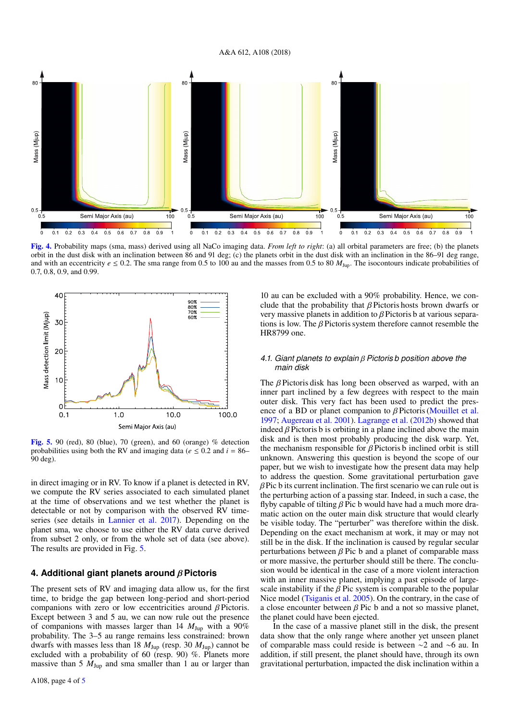

[Fig. 4.](http://dexter.edpsciences.org/applet.php?DOI=10.1051/0004-6361/201730436&pdf_id=0) Probability maps (sma, mass) derived using all NaCo imaging data. *From left to right*: (a) all orbital parameters are free; (b) the planets orbit in the dust disk with an inclination between 86 and 91 deg; (c) the planets orbit in the dust disk with an inclination in the 86–91 deg range, and with an eccentricity  $e \le 0.2$ . The sma range from 0.5 to 100 au and the masses from 0.5 to 80  $M_{\text{Jup}}$ . The isocontours indicate probabilities of 0.7, 0.8, 0.9, and 0.99.



[Fig. 5.](http://dexter.edpsciences.org/applet.php?DOI=10.1051/0004-6361/201730436&pdf_id=0) 90 (red), 80 (blue), 70 (green), and 60 (orange) % detection probabilities using both the RV and imaging data ( $e \le 0.2$  and  $i = 86$ – 90 deg).

in direct imaging or in RV. To know if a planet is detected in RV, we compute the RV series associated to each simulated planet at the time of observations and we test whether the planet is detectable or not by comparison with the observed RV timeseries (see details in Lannier et al. 2017). Depending on the planet sma, we choose to use either the RV data curve derived from subset 2 only, or from the whole set of data (see above). The results are provided in Fig. 5.

### **4. Additional giant planets around** β**Pictoris**

The present sets of RV and imaging data allow us, for the first time, to bridge the gap between long-period and short-period companions with zero or low eccentricities around  $\beta$  Pictoris. Except between 3 and 5 au, we can now rule out the presence of companions with masses larger than 14  $M_{Jup}$  with a 90% probability. The 3–5 au range remains less constrained: brown dwarfs with masses less than 18  $M_{\text{Jup}}$  (resp. 30  $M_{\text{Jup}}$ ) cannot be excluded with a probability of 60 (resp. 90) %. Planets more massive than 5  $M_{Jup}$  and sma smaller than 1 au or larger than 10 au can be excluded with a 90% probability. Hence, we conclude that the probability that  $\beta$  Pictoris hosts brown dwarfs or very massive planets in addition to β Pictoris b at various separations is low. The β Pictoris system therefore cannot resemble the HR8799 one.

#### *4.1. Giant planets to explain* β*Pictoris b position above the main disk*

The  $\beta$  Pictoris disk has long been observed as warped, with an inner part inclined by a few degrees with respect to the main outer disk. This very fact has been used to predict the presence of a BD or planet companion to  $\beta$  Pictoris (Mouillet et al. 1997; Augereau et al. 2001). Lagrange et al. (2012b) showed that indeed  $\beta$  Pictoris b is orbiting in a plane inclined above the main disk and is then most probably producing the disk warp. Yet, the mechanism responsible for  $\beta$  Pictoris b inclined orbit is still unknown. Answering this question is beyond the scope of our paper, but we wish to investigate how the present data may help to address the question. Some gravitational perturbation gave  $\beta$ Pic b its current inclination. The first scenario we can rule out is the perturbing action of a passing star. Indeed, in such a case, the flyby capable of tilting  $\beta$  Pic b would have had a much more dramatic action on the outer main disk structure that would clearly be visible today. The "perturber" was therefore within the disk. Depending on the exact mechanism at work, it may or may not still be in the disk. If the inclination is caused by regular secular perturbations between  $\beta$  Pic b and a planet of comparable mass or more massive, the perturber should still be there. The conclusion would be identical in the case of a more violent interaction with an inner massive planet, implying a past episode of largescale instability if the  $\beta$  Pic system is comparable to the popular Nice model (Tsiganis et al. 2005). On the contrary, in the case of a close encounter between  $\beta$  Pic b and a not so massive planet, the planet could have been ejected.

In the case of a massive planet still in the disk, the present data show that the only range where another yet unseen planet of comparable mass could reside is between ∼2 and ∼6 au. In addition, if still present, the planet should have, through its own gravitational perturbation, impacted the disk inclination within a